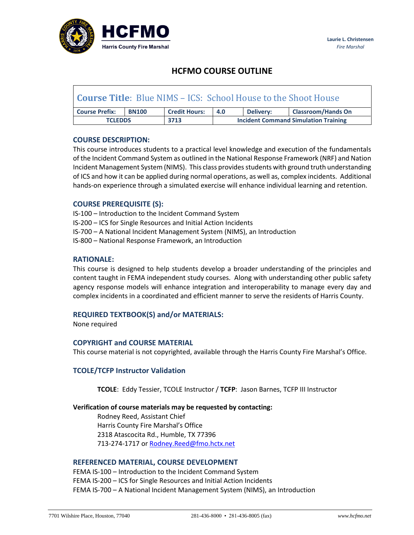

# **HCFMO COURSE OUTLINE**

| <b>Course Title:</b> Blue NIMS – ICS: School House to the Shoot House |              |                      |                                             |                  |                           |
|-----------------------------------------------------------------------|--------------|----------------------|---------------------------------------------|------------------|---------------------------|
| <b>Course Prefix:</b>                                                 | <b>BN100</b> | <b>Credit Hours:</b> | 4.0                                         | <b>Delivery:</b> | <b>Classroom/Hands On</b> |
| <b>TCLEDDS</b>                                                        |              | 3713                 | <b>Incident Command Simulation Training</b> |                  |                           |

## **COURSE DESCRIPTION:**

This course introduces students to a practical level knowledge and execution of the fundamentals of the Incident Command System as outlined in the National Response Framework (NRF) and Nation Incident Management System (NIMS). This class provides students with ground truth understanding of ICS and how it can be applied during normal operations, as well as, complex incidents. Additional hands-on experience through a simulated exercise will enhance individual learning and retention.

## **COURSE PREREQUISITE (S):**

IS-100 – Introduction to the Incident Command System IS-200 – ICS for Single Resources and Initial Action Incidents IS-700 – A National Incident Management System (NIMS), an Introduction IS-800 – National Response Framework, an Introduction

#### **RATIONALE:**

This course is designed to help students develop a broader understanding of the principles and content taught in FEMA independent study courses. Along with understanding other public safety agency response models will enhance integration and interoperability to manage every day and complex incidents in a coordinated and efficient manner to serve the residents of Harris County.

## **REQUIRED TEXTBOOK(S) and/or MATERIALS:**

None required

## **COPYRIGHT and COURSE MATERIAL**

This course material is not copyrighted, available through the Harris County Fire Marshal's Office.

## **TCOLE/TCFP Instructor Validation**

**TCOLE**: Eddy Tessier, TCOLE Instructor / **TCFP**: Jason Barnes, TCFP III Instructor

#### **Verification of course materials may be requested by contacting:**

Rodney Reed, Assistant Chief Harris County Fire Marshal's Office 2318 Atascocita Rd., Humble, TX 77396 713-274-1717 or [Rodney.Reed@fmo.hctx.net](mailto:Rodney.Reed@fmo.hctx.net)

#### **REFERENCED MATERIAL, COURSE DEVELOPMENT**

FEMA IS-100 – Introduction to the Incident Command System FEMA IS-200 – ICS for Single Resources and Initial Action Incidents FEMA IS-700 – A National Incident Management System (NIMS), an Introduction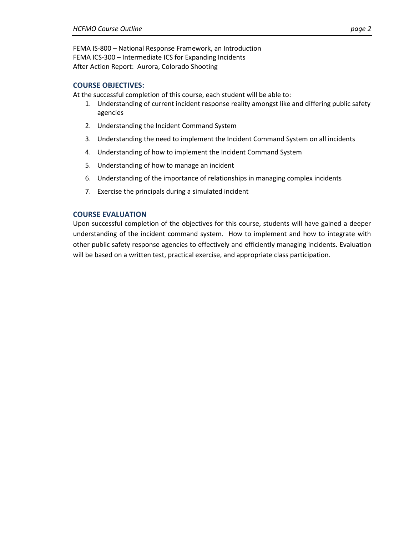FEMA IS-800 – National Response Framework, an Introduction FEMA ICS-300 – Intermediate ICS for Expanding Incidents After Action Report: Aurora, Colorado Shooting

## **COURSE OBJECTIVES:**

At the successful completion of this course, each student will be able to:

- 1. Understanding of current incident response reality amongst like and differing public safety agencies
- 2. Understanding the Incident Command System
- 3. Understanding the need to implement the Incident Command System on all incidents
- 4. Understanding of how to implement the Incident Command System
- 5. Understanding of how to manage an incident
- 6. Understanding of the importance of relationships in managing complex incidents
- 7. Exercise the principals during a simulated incident

#### **COURSE EVALUATION**

Upon successful completion of the objectives for this course, students will have gained a deeper understanding of the incident command system. How to implement and how to integrate with other public safety response agencies to effectively and efficiently managing incidents. Evaluation will be based on a written test, practical exercise, and appropriate class participation.